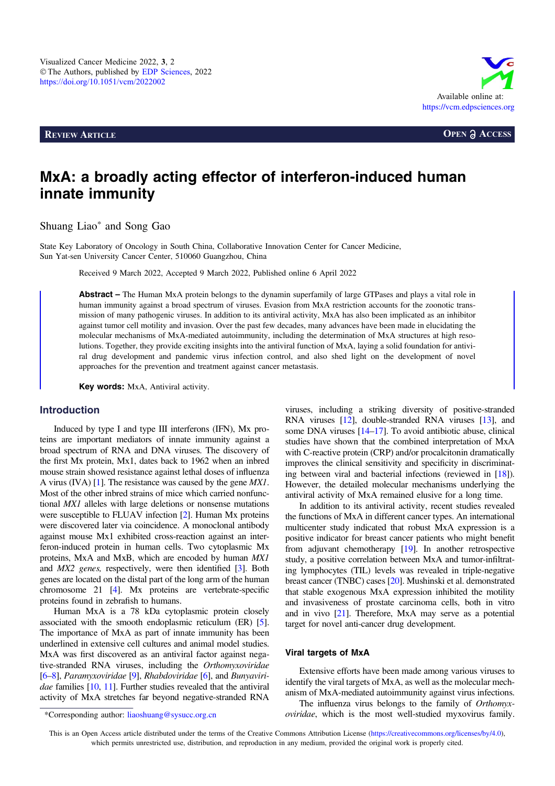**REVIEW ARTICLE OPEN a ACCESS** 



# MxA: a broadly acting effector of interferon-induced human innate immunity

Shuang Liao\* and Song Gao

State Key Laboratory of Oncology in South China, Collaborative Innovation Center for Cancer Medicine, Sun Yat-sen University Cancer Center, 510060 Guangzhou, China

Received 9 March 2022, Accepted 9 March 2022, Published online 6 April 2022

Abstract – The Human MxA protein belongs to the dynamin superfamily of large GTPases and plays a vital role in human immunity against a broad spectrum of viruses. Evasion from MxA restriction accounts for the zoonotic transmission of many pathogenic viruses. In addition to its antiviral activity, MxA has also been implicated as an inhibitor against tumor cell motility and invasion. Over the past few decades, many advances have been made in elucidating the molecular mechanisms of MxA-mediated autoimmunity, including the determination of MxA structures at high resolutions. Together, they provide exciting insights into the antiviral function of MxA, laying a solid foundation for antiviral drug development and pandemic virus infection control, and also shed light on the development of novel approaches for the prevention and treatment against cancer metastasis.

Key words: MxA, Antiviral activity.

#### Introduction

Induced by type I and type III interferons (IFN), Mx proteins are important mediators of innate immunity against a broad spectrum of RNA and DNA viruses. The discovery of the first Mx protein, Mx1, dates back to 1962 when an inbred mouse strain showed resistance against lethal doses of influenza A virus (IVA) [[1\]](#page-3-0). The resistance was caused by the gene MX1. Most of the other inbred strains of mice which carried nonfunctional MX1 alleles with large deletions or nonsense mutations were susceptible to FLUAV infection [\[2](#page-3-0)]. Human Mx proteins were discovered later via coincidence. A monoclonal antibody against mouse Mx1 exhibited cross-reaction against an interferon-induced protein in human cells. Two cytoplasmic Mx proteins, MxA and MxB, which are encoded by human MX1 and MX2 genes, respectively, were then identified [\[3\]](#page-3-0). Both genes are located on the distal part of the long arm of the human chromosome 21 [\[4](#page-3-0)]. Mx proteins are vertebrate-specific proteins found in zebrafish to humans.

Human MxA is a 78 kDa cytoplasmic protein closely associated with the smooth endoplasmic reticulum (ER) [\[5](#page-3-0)]. The importance of MxA as part of innate immunity has been underlined in extensive cell cultures and animal model studies. MxA was first discovered as an antiviral factor against negative-stranded RNA viruses, including the Orthomyxoviridae [[6](#page-3-0)–[8](#page-3-0)], Paramyxoviridae [\[9\]](#page-3-0), Rhabdoviridae [\[6\]](#page-3-0), and Bunyaviri-dae families [[10,](#page-3-0) [11\]](#page-3-0). Further studies revealed that the antiviral activity of MxA stretches far beyond negative-stranded RNA

viruses, including a striking diversity of positive-stranded RNA viruses [\[12\]](#page-3-0), double-stranded RNA viruses [\[13\]](#page-3-0), and some DNA viruses [\[14](#page-4-0)–[17](#page-4-0)]. To avoid antibiotic abuse, clinical studies have shown that the combined interpretation of MxA with C-reactive protein (CRP) and/or procalcitonin dramatically improves the clinical sensitivity and specificity in discriminating between viral and bacterial infections (reviewed in [[18](#page-4-0)]). However, the detailed molecular mechanisms underlying the antiviral activity of MxA remained elusive for a long time.

In addition to its antiviral activity, recent studies revealed the functions of MxA in different cancer types. An international multicenter study indicated that robust MxA expression is a positive indicator for breast cancer patients who might benefit from adjuvant chemotherapy [\[19](#page-4-0)]. In another retrospective study, a positive correlation between MxA and tumor-infiltrating lymphocytes (TIL) levels was revealed in triple-negative breast cancer (TNBC) cases [\[20\]](#page-4-0). Mushinski et al. demonstrated that stable exogenous MxA expression inhibited the motility and invasiveness of prostate carcinoma cells, both in vitro and in vivo [\[21\]](#page-4-0). Therefore, MxA may serve as a potential target for novel anti-cancer drug development.

#### Viral targets of MxA

Extensive efforts have been made among various viruses to identify the viral targets of MxA, as well as the molecular mechanism of MxA-mediated autoimmunity against virus infections.

The influenza virus belongs to the family of Orthomyxoviridae, which is the most well-studied myxovirus family.

<sup>\*</sup>Corresponding author: liaoshuang@sysucc.org.cn

This is an Open Access article distributed under the terms of the Creative Commons Attribution License [\(https://creativecommons.org/licenses/by/4.0](https://creativecommons.org/licenses/by/4.0/)), which permits unrestricted use, distribution, and reproduction in any medium, provided the original work is properly cited.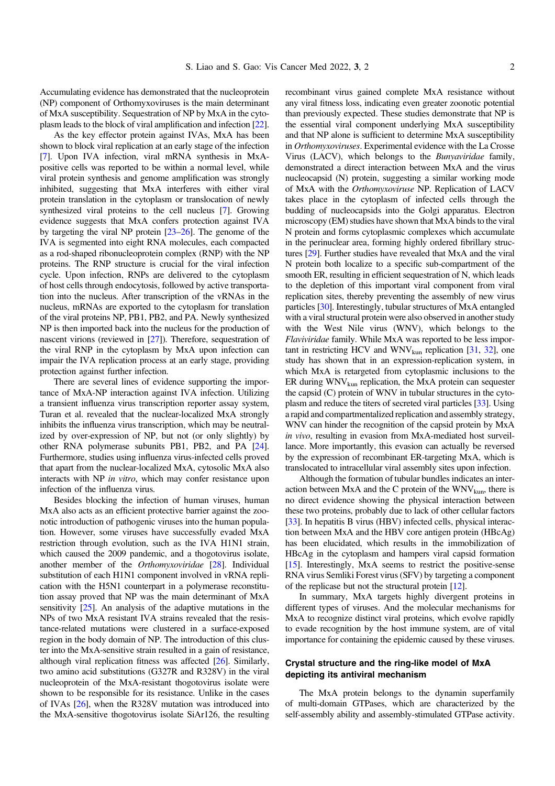Accumulating evidence has demonstrated that the nucleoprotein (NP) component of Orthomyxoviruses is the main determinant of MxA susceptibility. Sequestration of NP by MxA in the cytoplasm leads to the block of viral amplification and infection [\[22](#page-4-0)].

As the key effector protein against IVAs, MxA has been shown to block viral replication at an early stage of the infection [[7](#page-3-0)]. Upon IVA infection, viral mRNA synthesis in MxApositive cells was reported to be within a normal level, while viral protein synthesis and genome amplification was strongly inhibited, suggesting that MxA interferes with either viral protein translation in the cytoplasm or translocation of newly synthesized viral proteins to the cell nucleus [[7\]](#page-3-0). Growing evidence suggests that MxA confers protection against IVA by targeting the viral NP protein [[23](#page-4-0)–[26\]](#page-4-0). The genome of the IVA is segmented into eight RNA molecules, each compacted as a rod-shaped ribonucleoprotein complex (RNP) with the NP proteins. The RNP structure is crucial for the viral infection cycle. Upon infection, RNPs are delivered to the cytoplasm of host cells through endocytosis, followed by active transportation into the nucleus. After transcription of the vRNAs in the nucleus, mRNAs are exported to the cytoplasm for translation of the viral proteins NP, PB1, PB2, and PA. Newly synthesized NP is then imported back into the nucleus for the production of nascent virions (reviewed in [[27](#page-4-0)]). Therefore, sequestration of the viral RNP in the cytoplasm by MxA upon infection can impair the IVA replication process at an early stage, providing protection against further infection.

There are several lines of evidence supporting the importance of MxA-NP interaction against IVA infection. Utilizing a transient influenza virus transcription reporter assay system, Turan et al. revealed that the nuclear-localized MxA strongly inhibits the influenza virus transcription, which may be neutralized by over-expression of NP, but not (or only slightly) by other RNA polymerase subunits PB1, PB2, and PA [\[24](#page-4-0)]. Furthermore, studies using influenza virus-infected cells proved that apart from the nuclear-localized MxA, cytosolic MxA also interacts with NP in vitro, which may confer resistance upon infection of the influenza virus.

Besides blocking the infection of human viruses, human MxA also acts as an efficient protective barrier against the zoonotic introduction of pathogenic viruses into the human population. However, some viruses have successfully evaded MxA restriction through evolution, such as the IVA H1N1 strain, which caused the 2009 pandemic, and a thogotovirus isolate, another member of the Orthomyxoviridae [\[28\]](#page-4-0). Individual substitution of each H1N1 component involved in vRNA replication with the H5N1 counterpart in a polymerase reconstitution assay proved that NP was the main determinant of MxA sensitivity [[25](#page-4-0)]. An analysis of the adaptive mutations in the NPs of two MxA resistant IVA strains revealed that the resistance-related mutations were clustered in a surface-exposed region in the body domain of NP. The introduction of this cluster into the MxA-sensitive strain resulted in a gain of resistance, although viral replication fitness was affected [[26](#page-4-0)]. Similarly, two amino acid substitutions (G327R and R328V) in the viral nucleoprotein of the MxA-resistant thogotovirus isolate were shown to be responsible for its resistance. Unlike in the cases of IVAs [[26](#page-4-0)], when the R328V mutation was introduced into the MxA-sensitive thogotovirus isolate SiAr126, the resulting recombinant virus gained complete MxA resistance without any viral fitness loss, indicating even greater zoonotic potential than previously expected. These studies demonstrate that NP is the essential viral component underlying MxA susceptibility and that NP alone is sufficient to determine MxA susceptibility in Orthomyxoviruses. Experimental evidence with the La Crosse Virus (LACV), which belongs to the Bunyaviridae family, demonstrated a direct interaction between MxA and the virus nucleocapsid (N) protein, suggesting a similar working mode of MxA with the Orthomyxoviruse NP. Replication of LACV takes place in the cytoplasm of infected cells through the budding of nucleocapsids into the Golgi apparatus. Electron microscopy (EM) studies have shown that MxA binds to the viral N protein and forms cytoplasmic complexes which accumulate in the perinuclear area, forming highly ordered fibrillary structures [[29\]](#page-4-0). Further studies have revealed that MxA and the viral N protein both localize to a specific sub-compartment of the smooth ER, resulting in efficient sequestration of N, which leads to the depletion of this important viral component from viral replication sites, thereby preventing the assembly of new virus particles [\[30\]](#page-4-0). Interestingly, tubular structures of MxA entangled with a viral structural protein were also observed in another study with the West Nile virus (WNV), which belongs to the Flaviviridae family. While MxA was reported to be less important in restricting HCV and  $WWN<sub>kin</sub>$  replication [[31](#page-4-0), [32\]](#page-4-0), one study has shown that in an expression-replication system, in which MxA is retargeted from cytoplasmic inclusions to the ER during  $WWV_{\text{km}}$  replication, the MxA protein can sequester the capsid (C) protein of WNV in tubular structures in the cytoplasm and reduce the titers of secreted viral particles [\[33](#page-4-0)]. Using a rapid and compartmentalized replication and assembly strategy, WNV can hinder the recognition of the capsid protein by MxA in vivo, resulting in evasion from MxA-mediated host surveillance. More importantly, this evasion can actually be reversed by the expression of recombinant ER-targeting MxA, which is translocated to intracellular viral assembly sites upon infection.

Although the formation of tubular bundles indicates an interaction between MxA and the C protein of the  $WNV_{kun}$ , there is no direct evidence showing the physical interaction between these two proteins, probably due to lack of other cellular factors [[33](#page-4-0)]. In hepatitis B virus (HBV) infected cells, physical interaction between MxA and the HBV core antigen protein (HBcAg) has been elucidated, which results in the immobilization of HBcAg in the cytoplasm and hampers viral capsid formation [[15](#page-4-0)]. Interestingly, MxA seems to restrict the positive-sense RNA virus Semliki Forest virus (SFV) by targeting a component of the replicase but not the structural protein [[12](#page-3-0)].

In summary, MxA targets highly divergent proteins in different types of viruses. And the molecular mechanisms for MxA to recognize distinct viral proteins, which evolve rapidly to evade recognition by the host immune system, are of vital importance for containing the epidemic caused by these viruses.

#### Crystal structure and the ring-like model of MxA depicting its antiviral mechanism

The MxA protein belongs to the dynamin superfamily of multi-domain GTPases, which are characterized by the self-assembly ability and assembly-stimulated GTPase activity.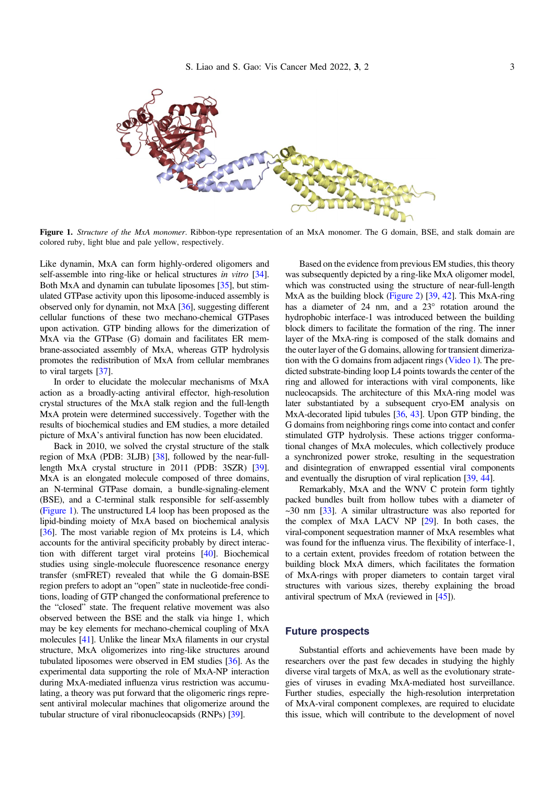

Figure 1. Structure of the MxA monomer. Ribbon-type representation of an MxA monomer. The G domain, BSE, and stalk domain are colored ruby, light blue and pale yellow, respectively.

Like dynamin, MxA can form highly-ordered oligomers and self-assemble into ring-like or helical structures in vitro [\[34](#page-4-0)]. Both MxA and dynamin can tubulate liposomes [\[35\]](#page-4-0), but stimulated GTPase activity upon this liposome-induced assembly is observed only for dynamin, not MxA [\[36](#page-4-0)], suggesting different cellular functions of these two mechano-chemical GTPases upon activation. GTP binding allows for the dimerization of MxA via the GTPase (G) domain and facilitates ER membrane-associated assembly of MxA, whereas GTP hydrolysis promotes the redistribution of MxA from cellular membranes to viral targets [\[37](#page-4-0)].

In order to elucidate the molecular mechanisms of MxA action as a broadly-acting antiviral effector, high-resolution crystal structures of the MxA stalk region and the full-length MxA protein were determined successively. Together with the results of biochemical studies and EM studies, a more detailed picture of MxA's antiviral function has now been elucidated.

Back in 2010, we solved the crystal structure of the stalk region of MxA (PDB: 3LJB) [\[38\]](#page-4-0), followed by the near-fulllength MxA crystal structure in 2011 (PDB: 3SZR) [\[39](#page-4-0)]. MxA is an elongated molecule composed of three domains, an N-terminal GTPase domain, a bundle-signaling-element (BSE), and a C-terminal stalk responsible for self-assembly (Figure 1). The unstructured L4 loop has been proposed as the lipid-binding moiety of MxA based on biochemical analysis [[36](#page-4-0)]. The most variable region of Mx proteins is L4, which accounts for the antiviral specificity probably by direct interaction with different target viral proteins [[40](#page-4-0)]. Biochemical studies using single-molecule fluorescence resonance energy transfer (smFRET) revealed that while the G domain-BSE region prefers to adopt an "open" state in nucleotide-free conditions, loading of GTP changed the conformational preference to the "closed" state. The frequent relative movement was also observed between the BSE and the stalk via hinge 1, which may be key elements for mechano-chemical coupling of MxA molecules [\[41](#page-4-0)]. Unlike the linear MxA filaments in our crystal structure, MxA oligomerizes into ring-like structures around tubulated liposomes were observed in EM studies [[36](#page-4-0)]. As the experimental data supporting the role of MxA-NP interaction during MxA-mediated influenza virus restriction was accumulating, a theory was put forward that the oligomeric rings represent antiviral molecular machines that oligomerize around the tubular structure of viral ribonucleocapsids (RNPs) [[39](#page-4-0)].

Based on the evidence from previous EM studies, this theory was subsequently depicted by a ring-like MxA oligomer model, which was constructed using the structure of near-full-length MxA as the building block [\(Figure 2\)](#page-3-0) [[39](#page-4-0), [42](#page-4-0)]. This MxA-ring has a diameter of  $24 \, \text{nm}$ , and a  $23^{\circ}$  rotation around the hydrophobic interface-1 was introduced between the building block dimers to facilitate the formation of the ring. The inner layer of the MxA-ring is composed of the stalk domains and the outer layer of the G domains, allowing for transient dimerization with the G domains from adjacent rings ([Video 1](#page-3-0)). The predicted substrate-binding loop L4 points towards the center of the ring and allowed for interactions with viral components, like nucleocapsids. The architecture of this MxA-ring model was later substantiated by a subsequent cryo-EM analysis on MxA-decorated lipid tubules [\[36,](#page-4-0) [43](#page-4-0)]. Upon GTP binding, the G domains from neighboring rings come into contact and confer stimulated GTP hydrolysis. These actions trigger conformational changes of MxA molecules, which collectively produce a synchronized power stroke, resulting in the sequestration and disintegration of enwrapped essential viral components and eventually the disruption of viral replication [[39](#page-4-0), [44](#page-4-0)].

Remarkably, MxA and the WNV C protein form tightly packed bundles built from hollow tubes with a diameter of  $\sim$ 30 nm [[33](#page-4-0)]. A similar ultrastructure was also reported for the complex of MxA LACV NP [\[29\]](#page-4-0). In both cases, the viral-component sequestration manner of MxA resembles what was found for the influenza virus. The flexibility of interface-1, to a certain extent, provides freedom of rotation between the building block MxA dimers, which facilitates the formation of MxA-rings with proper diameters to contain target viral structures with various sizes, thereby explaining the broad antiviral spectrum of MxA (reviewed in [\[45](#page-4-0)]).

### Future prospects

Substantial efforts and achievements have been made by researchers over the past few decades in studying the highly diverse viral targets of MxA, as well as the evolutionary strategies of viruses in evading MxA-mediated host surveillance. Further studies, especially the high-resolution interpretation of MxA-viral component complexes, are required to elucidate this issue, which will contribute to the development of novel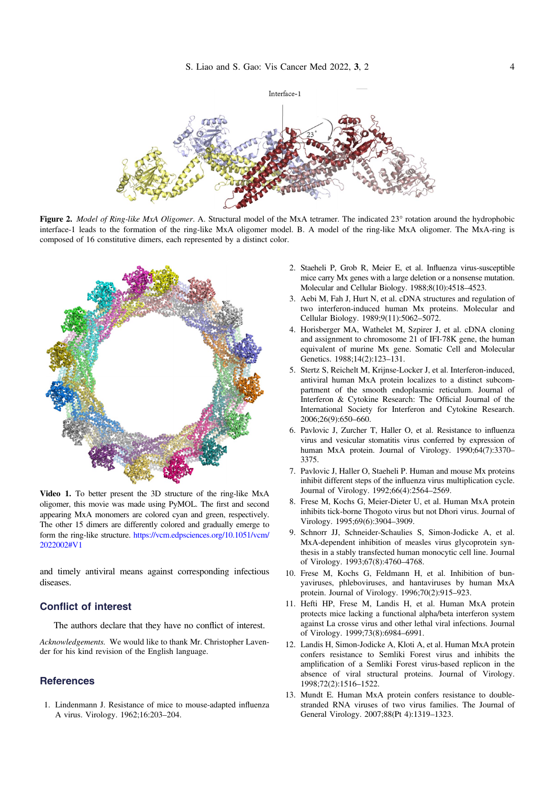<span id="page-3-0"></span>

Figure 2. Model of Ring-like MxA Oligomer. A. Structural model of the MxA tetramer. The indicated 23° rotation around the hydrophobic interface-1 leads to the formation of the ring-like MxA oligomer model. B. A model of the ring-like MxA oligomer. The MxA-ring is composed of 16 constitutive dimers, each represented by a distinct color.



Video 1. To better present the 3D structure of the ring-like MxA oligomer, this movie was made using PyMOL. The first and second appearing MxA monomers are colored cyan and green, respectively. The other 15 dimers are differently colored and gradually emerge to form the ring-like structure. [https://vcm.edpsciences.org/10.1051/vcm/](https://vcm.edpsciences.org/10.1051/vcm/2022002#V1) [2022002#V1](https://vcm.edpsciences.org/10.1051/vcm/2022002#V1)

and timely antiviral means against corresponding infectious diseases.

## Conflict of interest

The authors declare that they have no conflict of interest.

Acknowledgements. We would like to thank Mr. Christopher Lavender for his kind revision of the English language.

### **References**

1. Lindenmann J. Resistance of mice to mouse-adapted influenza A virus. Virology. 1962;16:203–204.

- 2. Staeheli P, Grob R, Meier E, et al. Influenza virus-susceptible mice carry Mx genes with a large deletion or a nonsense mutation. Molecular and Cellular Biology. 1988;8(10):4518–4523.
- 3. Aebi M, Fah J, Hurt N, et al. cDNA structures and regulation of two interferon-induced human Mx proteins. Molecular and Cellular Biology. 1989;9(11):5062–5072.
- 4. Horisberger MA, Wathelet M, Szpirer J, et al. cDNA cloning and assignment to chromosome 21 of IFI-78K gene, the human equivalent of murine Mx gene. Somatic Cell and Molecular Genetics. 1988;14(2):123–131.
- 5. Stertz S, Reichelt M, Krijnse-Locker J, et al. Interferon-induced, antiviral human MxA protein localizes to a distinct subcompartment of the smooth endoplasmic reticulum. Journal of Interferon & Cytokine Research: The Official Journal of the International Society for Interferon and Cytokine Research. 2006;26(9):650–660.
- 6. Pavlovic J, Zurcher T, Haller O, et al. Resistance to influenza virus and vesicular stomatitis virus conferred by expression of human MxA protein. Journal of Virology. 1990;64(7):3370– 3375.
- 7. Pavlovic J, Haller O, Staeheli P. Human and mouse Mx proteins inhibit different steps of the influenza virus multiplication cycle. Journal of Virology. 1992;66(4):2564–2569.
- 8. Frese M, Kochs G, Meier-Dieter U, et al. Human MxA protein inhibits tick-borne Thogoto virus but not Dhori virus. Journal of Virology. 1995;69(6):3904–3909.
- 9. Schnorr JJ, Schneider-Schaulies S, Simon-Jodicke A, et al. MxA-dependent inhibition of measles virus glycoprotein synthesis in a stably transfected human monocytic cell line. Journal of Virology. 1993;67(8):4760–4768.
- 10. Frese M, Kochs G, Feldmann H, et al. Inhibition of bunyaviruses, phleboviruses, and hantaviruses by human MxA protein. Journal of Virology. 1996;70(2):915–923.
- 11. Hefti HP, Frese M, Landis H, et al. Human MxA protein protects mice lacking a functional alpha/beta interferon system against La crosse virus and other lethal viral infections. Journal of Virology. 1999;73(8):6984–6991.
- 12. Landis H, Simon-Jodicke A, Kloti A, et al. Human MxA protein confers resistance to Semliki Forest virus and inhibits the amplification of a Semliki Forest virus-based replicon in the absence of viral structural proteins. Journal of Virology. 1998;72(2):1516–1522.
- 13. Mundt E. Human MxA protein confers resistance to doublestranded RNA viruses of two virus families. The Journal of General Virology. 2007;88(Pt 4):1319–1323.